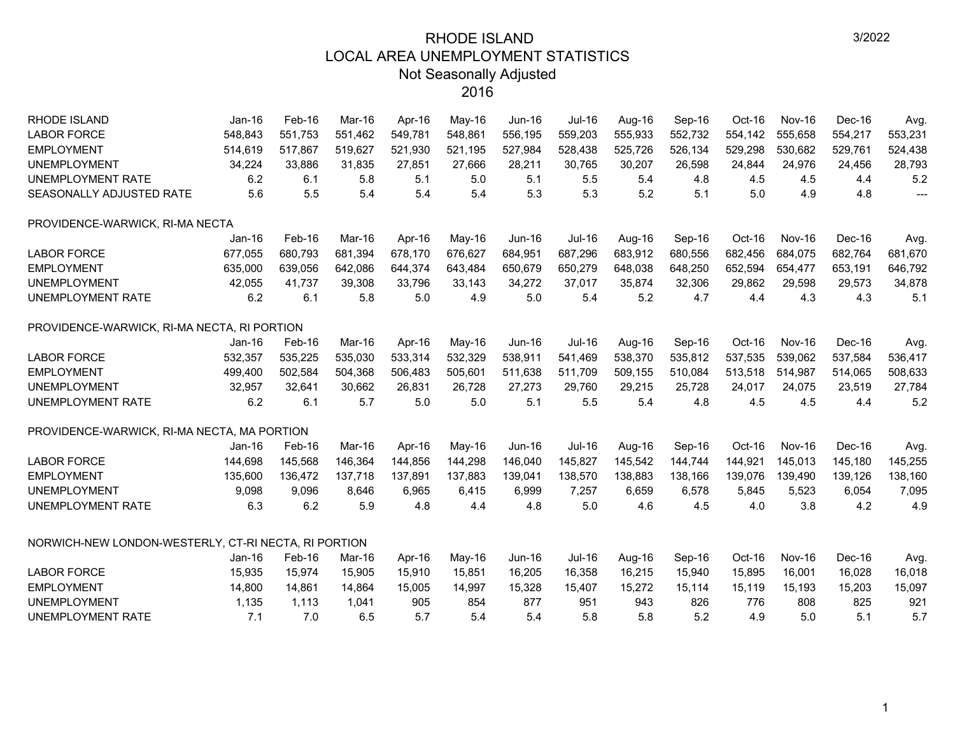| <b>RHODE ISLAND</b>                                  | $Jan-16$ | Feb-16  | Mar-16  | Apr-16  | May-16  | <b>Jun-16</b> | Jul-16        | Aug-16  | Sep-16  | Oct-16  | Nov-16        | Dec-16  | Avg.           |
|------------------------------------------------------|----------|---------|---------|---------|---------|---------------|---------------|---------|---------|---------|---------------|---------|----------------|
| <b>LABOR FORCE</b>                                   | 548,843  | 551,753 | 551,462 | 549,781 | 548,861 | 556,195       | 559,203       | 555,933 | 552,732 | 554,142 | 555,658       | 554,217 | 553,231        |
| <b>EMPLOYMENT</b>                                    | 514,619  | 517,867 | 519,627 | 521,930 | 521,195 | 527,984       | 528,438       | 525,726 | 526,134 | 529,298 | 530,682       | 529,761 | 524,438        |
| <b>UNEMPLOYMENT</b>                                  | 34,224   | 33,886  | 31,835  | 27,851  | 27,666  | 28,211        | 30,765        | 30,207  | 26,598  | 24,844  | 24,976        | 24,456  | 28,793         |
| UNEMPLOYMENT RATE                                    | 6.2      | 6.1     | 5.8     | 5.1     | 5.0     | 5.1           | 5.5           | 5.4     | 4.8     | 4.5     | 4.5           | 4.4     | 5.2            |
| SEASONALLY ADJUSTED RATE                             | 5.6      | 5.5     | 5.4     | 5.4     | 5.4     | 5.3           | 5.3           | 5.2     | 5.1     | 5.0     | 4.9           | 4.8     | $\overline{a}$ |
| PROVIDENCE-WARWICK, RI-MA NECTA                      |          |         |         |         |         |               |               |         |         |         |               |         |                |
|                                                      | $Jan-16$ | Feb-16  | Mar-16  | Apr-16  | May-16  | $Jun-16$      | Jul-16        | Aug-16  | Sep-16  | Oct-16  | <b>Nov-16</b> | Dec-16  | Avg.           |
| <b>LABOR FORCE</b>                                   | 677,055  | 680,793 | 681,394 | 678,170 | 676,627 | 684,951       | 687,296       | 683,912 | 680,556 | 682,456 | 684,075       | 682,764 | 681,670        |
| <b>EMPLOYMENT</b>                                    | 635,000  | 639,056 | 642,086 | 644,374 | 643,484 | 650,679       | 650,279       | 648,038 | 648,250 | 652,594 | 654,477       | 653,191 | 646,792        |
| <b>UNEMPLOYMENT</b>                                  | 42,055   | 41,737  | 39,308  | 33,796  | 33,143  | 34,272        | 37,017        | 35,874  | 32,306  | 29,862  | 29,598        | 29,573  | 34,878         |
| UNEMPLOYMENT RATE                                    | 6.2      | 6.1     | 5.8     | 5.0     | 4.9     | 5.0           | 5.4           | 5.2     | 4.7     | 4.4     | 4.3           | 4.3     | 5.1            |
| PROVIDENCE-WARWICK, RI-MA NECTA, RI PORTION          |          |         |         |         |         |               |               |         |         |         |               |         |                |
|                                                      | $Jan-16$ | Feb-16  | Mar-16  | Apr-16  | May-16  | $Jun-16$      | Jul-16        | Aug-16  | Sep-16  | Oct-16  | <b>Nov-16</b> | Dec-16  | Avg.           |
| <b>LABOR FORCE</b>                                   | 532,357  | 535,225 | 535,030 | 533,314 | 532,329 | 538,911       | 541,469       | 538,370 | 535,812 | 537,535 | 539,062       | 537,584 | 536,417        |
| <b>EMPLOYMENT</b>                                    | 499,400  | 502,584 | 504,368 | 506,483 | 505,601 | 511,638       | 511,709       | 509,155 | 510,084 | 513,518 | 514,987       | 514,065 | 508,633        |
| <b>UNEMPLOYMENT</b>                                  | 32,957   | 32,641  | 30,662  | 26,831  | 26,728  | 27,273        | 29,760        | 29,215  | 25,728  | 24,017  | 24,075        | 23,519  | 27,784         |
| <b>UNEMPLOYMENT RATE</b>                             | 6.2      | 6.1     | 5.7     | 5.0     | 5.0     | 5.1           | 5.5           | 5.4     | 4.8     | 4.5     | 4.5           | 4.4     | 5.2            |
| PROVIDENCE-WARWICK, RI-MA NECTA, MA PORTION          |          |         |         |         |         |               |               |         |         |         |               |         |                |
|                                                      | $Jan-16$ | Feb-16  | Mar-16  | Apr-16  | May-16  | $Jun-16$      | <b>Jul-16</b> | Aug-16  | Sep-16  | Oct-16  | <b>Nov-16</b> | Dec-16  | Avg.           |
| <b>LABOR FORCE</b>                                   | 144,698  | 145,568 | 146,364 | 144,856 | 144,298 | 146,040       | 145,827       | 145,542 | 144,744 | 144,921 | 145,013       | 145,180 | 145,255        |
| <b>EMPLOYMENT</b>                                    | 135,600  | 136,472 | 137,718 | 137,891 | 137,883 | 139,041       | 138,570       | 138,883 | 138,166 | 139,076 | 139,490       | 139,126 | 138,160        |
| <b>UNEMPLOYMENT</b>                                  | 9,098    | 9,096   | 8,646   | 6,965   | 6,415   | 6,999         | 7,257         | 6,659   | 6,578   | 5,845   | 5,523         | 6,054   | 7,095          |
| <b>UNEMPLOYMENT RATE</b>                             | 6.3      | 6.2     | 5.9     | 4.8     | 4.4     | 4.8           | 5.0           | 4.6     | 4.5     | 4.0     | 3.8           | 4.2     | 4.9            |
| NORWICH-NEW LONDON-WESTERLY, CT-RI NECTA, RI PORTION |          |         |         |         |         |               |               |         |         |         |               |         |                |
|                                                      | $Jan-16$ | Feb-16  | Mar-16  | Apr-16  | May-16  | Jun-16        | Jul-16        | Aug-16  | Sep-16  | Oct-16  | <b>Nov-16</b> | Dec-16  | Avg.           |
| <b>LABOR FORCE</b>                                   | 15,935   | 15,974  | 15,905  | 15,910  | 15,851  | 16,205        | 16,358        | 16,215  | 15,940  | 15,895  | 16,001        | 16,028  | 16,018         |
| <b>EMPLOYMENT</b>                                    | 14,800   | 14,861  | 14,864  | 15,005  | 14,997  | 15,328        | 15,407        | 15,272  | 15,114  | 15,119  | 15,193        | 15,203  | 15,097         |
| <b>UNEMPLOYMENT</b>                                  | 1,135    | 1,113   | 1,041   | 905     | 854     | 877           | 951           | 943     | 826     | 776     | 808           | 825     | 921            |
| <b>UNEMPLOYMENT RATE</b>                             | 7.1      | 7.0     | 6.5     | 5.7     | 5.4     | 5.4           | 5.8           | 5.8     | 5.2     | 4.9     | 5.0           | 5.1     | 5.7            |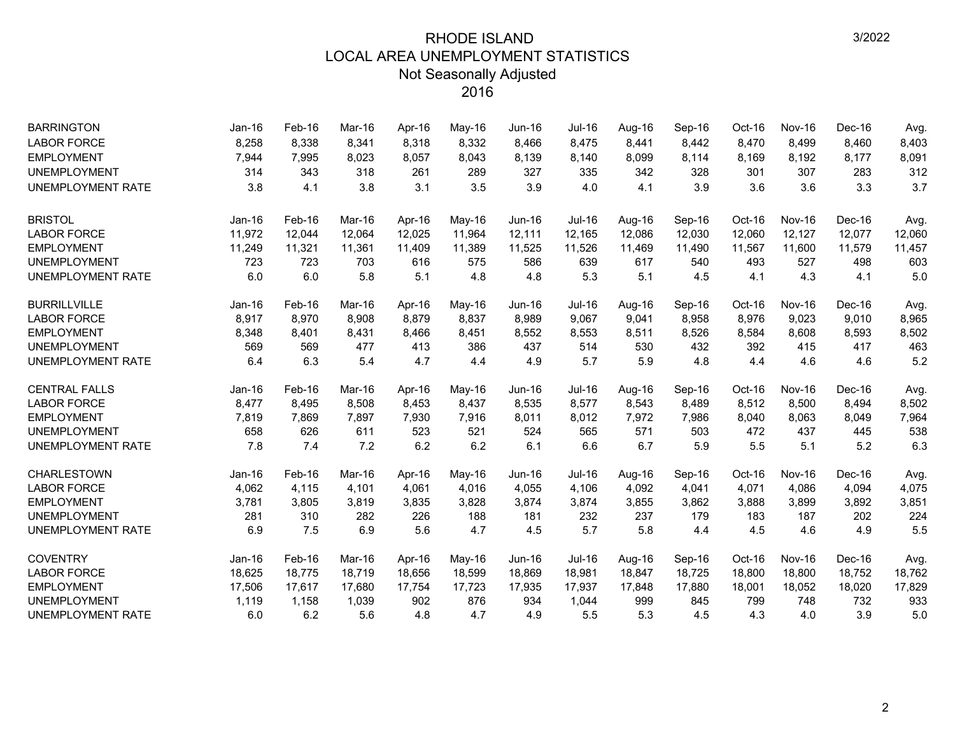| <b>BARRINGTON</b>        | Jan-16   | Feb-16 | Mar-16 | Apr-16 | May-16   | Jun-16   | <b>Jul-16</b> | Aug-16 | Sep-16 | Oct-16 | Nov-16        | Dec-16 | Avg.   |
|--------------------------|----------|--------|--------|--------|----------|----------|---------------|--------|--------|--------|---------------|--------|--------|
| <b>LABOR FORCE</b>       | 8,258    | 8,338  | 8,341  | 8,318  | 8,332    | 8,466    | 8,475         | 8,441  | 8,442  | 8,470  | 8,499         | 8,460  | 8,403  |
| <b>EMPLOYMENT</b>        | 7,944    | 7,995  | 8,023  | 8,057  | 8,043    | 8,139    | 8,140         | 8,099  | 8,114  | 8,169  | 8,192         | 8,177  | 8,091  |
| <b>UNEMPLOYMENT</b>      | 314      | 343    | 318    | 261    | 289      | 327      | 335           | 342    | 328    | 301    | 307           | 283    | 312    |
| <b>UNEMPLOYMENT RATE</b> | 3.8      | 4.1    | 3.8    | 3.1    | 3.5      | 3.9      | 4.0           | 4.1    | 3.9    | 3.6    | 3.6           | 3.3    | 3.7    |
| <b>BRISTOL</b>           | $Jan-16$ | Feb-16 | Mar-16 | Apr-16 | $May-16$ | Jun-16   | <b>Jul-16</b> | Aug-16 | Sep-16 | Oct-16 | <b>Nov-16</b> | Dec-16 | Avg.   |
| <b>LABOR FORCE</b>       | 11,972   | 12,044 | 12.064 | 12,025 | 11,964   | 12,111   | 12,165        | 12,086 | 12,030 | 12,060 | 12,127        | 12,077 | 12,060 |
| <b>EMPLOYMENT</b>        | 11,249   | 11,321 | 11,361 | 11,409 | 11,389   | 11,525   | 11,526        | 11,469 | 11,490 | 11,567 | 11,600        | 11,579 | 11,457 |
| <b>UNEMPLOYMENT</b>      | 723      | 723    | 703    | 616    | 575      | 586      | 639           | 617    | 540    | 493    | 527           | 498    | 603    |
| <b>UNEMPLOYMENT RATE</b> | 6.0      | 6.0    | 5.8    | 5.1    | 4.8      | 4.8      | 5.3           | 5.1    | 4.5    | 4.1    | 4.3           | 4.1    | 5.0    |
| <b>BURRILLVILLE</b>      | Jan-16   | Feb-16 | Mar-16 | Apr-16 | May-16   | Jun-16   | <b>Jul-16</b> | Aug-16 | Sep-16 | Oct-16 | <b>Nov-16</b> | Dec-16 | Avg.   |
| <b>LABOR FORCE</b>       | 8,917    | 8,970  | 8,908  | 8,879  | 8,837    | 8,989    | 9,067         | 9,041  | 8,958  | 8,976  | 9,023         | 9,010  | 8,965  |
| <b>EMPLOYMENT</b>        | 8,348    | 8,401  | 8,431  | 8,466  | 8,451    | 8,552    | 8,553         | 8,511  | 8,526  | 8,584  | 8,608         | 8,593  | 8,502  |
| <b>UNEMPLOYMENT</b>      | 569      | 569    | 477    | 413    | 386      | 437      | 514           | 530    | 432    | 392    | 415           | 417    | 463    |
| <b>UNEMPLOYMENT RATE</b> | 6.4      | 6.3    | 5.4    | 4.7    | 4.4      | 4.9      | 5.7           | 5.9    | 4.8    | 4.4    | 4.6           | 4.6    | 5.2    |
| <b>CENTRAL FALLS</b>     | $Jan-16$ | Feb-16 | Mar-16 | Apr-16 | May-16   | $Jun-16$ | Jul-16        | Aug-16 | Sep-16 | Oct-16 | Nov-16        | Dec-16 | Avg.   |
| <b>LABOR FORCE</b>       | 8,477    | 8,495  | 8,508  | 8,453  | 8,437    | 8,535    | 8,577         | 8,543  | 8,489  | 8,512  | 8,500         | 8,494  | 8,502  |
| <b>EMPLOYMENT</b>        | 7,819    | 7,869  | 7,897  | 7,930  | 7,916    | 8,011    | 8,012         | 7,972  | 7,986  | 8,040  | 8,063         | 8,049  | 7,964  |
| <b>UNEMPLOYMENT</b>      | 658      | 626    | 611    | 523    | 521      | 524      | 565           | 571    | 503    | 472    | 437           | 445    | 538    |
| <b>UNEMPLOYMENT RATE</b> | 7.8      | 7.4    | 7.2    | 6.2    | 6.2      | 6.1      | 6.6           | 6.7    | 5.9    | 5.5    | 5.1           | 5.2    | 6.3    |
| <b>CHARLESTOWN</b>       | Jan-16   | Feb-16 | Mar-16 | Apr-16 | $May-16$ | Jun-16   | <b>Jul-16</b> | Aug-16 | Sep-16 | Oct-16 | Nov-16        | Dec-16 | Avg.   |
| <b>LABOR FORCE</b>       | 4,062    | 4,115  | 4,101  | 4,061  | 4,016    | 4,055    | 4,106         | 4,092  | 4,041  | 4,071  | 4,086         | 4,094  | 4,075  |
| <b>EMPLOYMENT</b>        | 3,781    | 3,805  | 3,819  | 3,835  | 3,828    | 3,874    | 3,874         | 3,855  | 3,862  | 3,888  | 3,899         | 3,892  | 3,851  |
| <b>UNEMPLOYMENT</b>      | 281      | 310    | 282    | 226    | 188      | 181      | 232           | 237    | 179    | 183    | 187           | 202    | 224    |
| <b>UNEMPLOYMENT RATE</b> | 6.9      | 7.5    | 6.9    | 5.6    | 4.7      | 4.5      | 5.7           | 5.8    | 4.4    | 4.5    | 4.6           | 4.9    | 5.5    |
| <b>COVENTRY</b>          | $Jan-16$ | Feb-16 | Mar-16 | Apr-16 | May-16   | $Jun-16$ | <b>Jul-16</b> | Aug-16 | Sep-16 | Oct-16 | Nov-16        | Dec-16 | Avg.   |
| <b>LABOR FORCE</b>       | 18,625   | 18,775 | 18,719 | 18,656 | 18,599   | 18,869   | 18,981        | 18,847 | 18,725 | 18,800 | 18,800        | 18,752 | 18,762 |
| <b>EMPLOYMENT</b>        | 17,506   | 17,617 | 17,680 | 17,754 | 17,723   | 17,935   | 17,937        | 17,848 | 17,880 | 18,001 | 18,052        | 18,020 | 17,829 |
| <b>UNEMPLOYMENT</b>      | 1,119    | 1,158  | 1,039  | 902    | 876      | 934      | 1,044         | 999    | 845    | 799    | 748           | 732    | 933    |
| <b>UNEMPLOYMENT RATE</b> | 6.0      | 6.2    | 5.6    | 4.8    | 4.7      | 4.9      | 5.5           | 5.3    | 4.5    | 4.3    | 4.0           | 3.9    | 5.0    |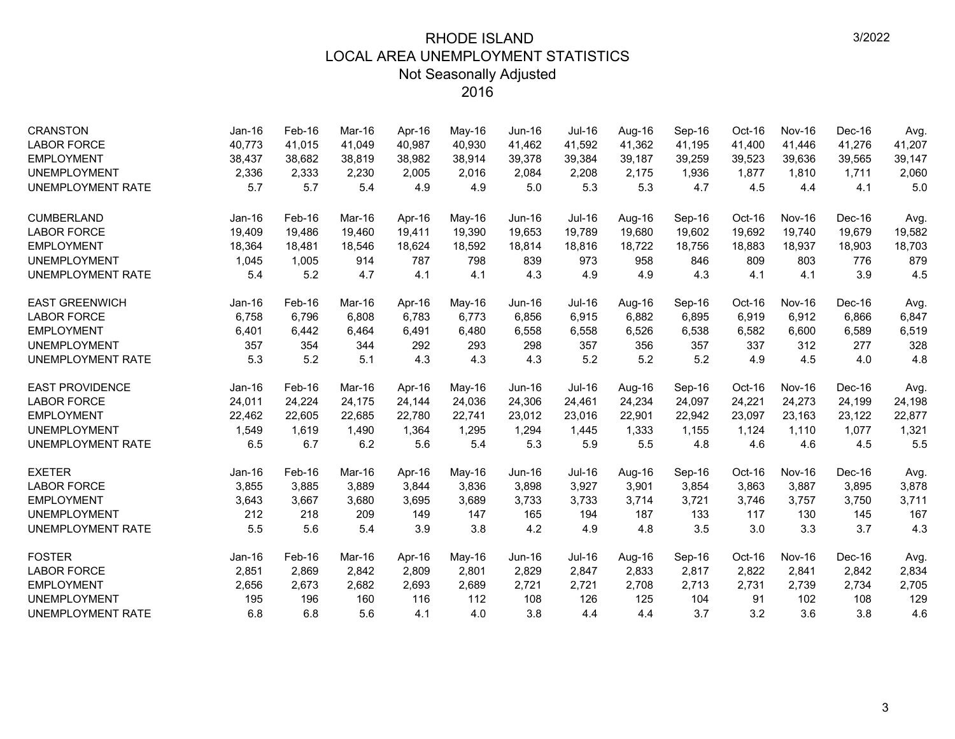| <b>CRANSTON</b>          | $Jan-16$ | Feb-16 | Mar-16 | Apr-16 | May-16   | <b>Jun-16</b> | Jul-16 | Aug-16 | Sep-16 | Oct-16 | <b>Nov-16</b> | Dec-16 | Avg.   |
|--------------------------|----------|--------|--------|--------|----------|---------------|--------|--------|--------|--------|---------------|--------|--------|
| <b>LABOR FORCE</b>       | 40,773   | 41,015 | 41.049 | 40.987 | 40,930   | 41,462        | 41,592 | 41,362 | 41,195 | 41,400 | 41.446        | 41,276 | 41,207 |
| <b>EMPLOYMENT</b>        | 38,437   | 38,682 | 38,819 | 38,982 | 38,914   | 39,378        | 39,384 | 39,187 | 39,259 | 39,523 | 39,636        | 39,565 | 39,147 |
| <b>UNEMPLOYMENT</b>      | 2,336    | 2,333  | 2,230  | 2,005  | 2,016    | 2,084         | 2,208  | 2.175  | 1,936  | 1,877  | 1,810         | 1,711  | 2,060  |
| <b>UNEMPLOYMENT RATE</b> | 5.7      | 5.7    | 5.4    | 4.9    | 4.9      | 5.0           | 5.3    | 5.3    | 4.7    | 4.5    | 4.4           | 4.1    | 5.0    |
| <b>CUMBERLAND</b>        | $Jan-16$ | Feb-16 | Mar-16 | Apr-16 | $May-16$ | Jun-16        | Jul-16 | Aug-16 | Sep-16 | Oct-16 | <b>Nov-16</b> | Dec-16 | Avg.   |
| <b>LABOR FORCE</b>       | 19,409   | 19,486 | 19.460 | 19.411 | 19,390   | 19,653        | 19,789 | 19,680 | 19,602 | 19,692 | 19,740        | 19,679 | 19,582 |
| <b>EMPLOYMENT</b>        | 18,364   | 18,481 | 18,546 | 18,624 | 18,592   | 18,814        | 18,816 | 18,722 | 18,756 | 18,883 | 18,937        | 18,903 | 18,703 |
| <b>UNEMPLOYMENT</b>      | 1,045    | 1,005  | 914    | 787    | 798      | 839           | 973    | 958    | 846    | 809    | 803           | 776    | 879    |
| <b>UNEMPLOYMENT RATE</b> | 5.4      | 5.2    | 4.7    | 4.1    | 4.1      | 4.3           | 4.9    | 4.9    | 4.3    | 4.1    | 4.1           | 3.9    | 4.5    |
| <b>EAST GREENWICH</b>    | $Jan-16$ | Feb-16 | Mar-16 | Apr-16 | May-16   | $Jun-16$      | Jul-16 | Aug-16 | Sep-16 | Oct-16 | <b>Nov-16</b> | Dec-16 | Avg.   |
| <b>LABOR FORCE</b>       | 6,758    | 6,796  | 6,808  | 6,783  | 6,773    | 6,856         | 6,915  | 6,882  | 6,895  | 6,919  | 6,912         | 6,866  | 6,847  |
| <b>EMPLOYMENT</b>        | 6,401    | 6,442  | 6,464  | 6,491  | 6,480    | 6,558         | 6,558  | 6,526  | 6,538  | 6,582  | 6,600         | 6,589  | 6,519  |
| <b>UNEMPLOYMENT</b>      | 357      | 354    | 344    | 292    | 293      | 298           | 357    | 356    | 357    | 337    | 312           | 277    | 328    |
| UNEMPLOYMENT RATE        | 5.3      | 5.2    | 5.1    | 4.3    | 4.3      | 4.3           | 5.2    | 5.2    | 5.2    | 4.9    | 4.5           | 4.0    | 4.8    |
| <b>EAST PROVIDENCE</b>   | $Jan-16$ | Feb-16 | Mar-16 | Apr-16 | May-16   | <b>Jun-16</b> | Jul-16 | Aug-16 | Sep-16 | Oct-16 | <b>Nov-16</b> | Dec-16 | Avg.   |
| <b>LABOR FORCE</b>       | 24,011   | 24,224 | 24,175 | 24,144 | 24,036   | 24,306        | 24,461 | 24,234 | 24,097 | 24,221 | 24,273        | 24,199 | 24,198 |
| <b>EMPLOYMENT</b>        | 22,462   | 22,605 | 22,685 | 22,780 | 22,741   | 23,012        | 23,016 | 22,901 | 22,942 | 23,097 | 23,163        | 23,122 | 22,877 |
| <b>UNEMPLOYMENT</b>      | 1,549    | 1,619  | 1,490  | 1,364  | 1,295    | 1,294         | 1,445  | 1,333  | 1,155  | 1,124  | 1,110         | 1,077  | 1,321  |
| UNEMPLOYMENT RATE        | 6.5      | 6.7    | 6.2    | 5.6    | 5.4      | 5.3           | 5.9    | 5.5    | 4.8    | 4.6    | 4.6           | 4.5    | 5.5    |
| <b>EXETER</b>            | Jan-16   | Feb-16 | Mar-16 | Apr-16 | $May-16$ | $Jun-16$      | Jul-16 | Aug-16 | Sep-16 | Oct-16 | <b>Nov-16</b> | Dec-16 | Avg.   |
| <b>LABOR FORCE</b>       | 3,855    | 3,885  | 3,889  | 3,844  | 3,836    | 3,898         | 3,927  | 3,901  | 3,854  | 3,863  | 3,887         | 3,895  | 3,878  |
| <b>EMPLOYMENT</b>        | 3,643    | 3,667  | 3,680  | 3,695  | 3,689    | 3,733         | 3,733  | 3,714  | 3,721  | 3,746  | 3,757         | 3,750  | 3,711  |
| <b>UNEMPLOYMENT</b>      | 212      | 218    | 209    | 149    | 147      | 165           | 194    | 187    | 133    | 117    | 130           | 145    | 167    |
| UNEMPLOYMENT RATE        | 5.5      | 5.6    | 5.4    | 3.9    | 3.8      | 4.2           | 4.9    | 4.8    | 3.5    | 3.0    | 3.3           | 3.7    | 4.3    |
| <b>FOSTER</b>            | $Jan-16$ | Feb-16 | Mar-16 | Apr-16 | May-16   | $Jun-16$      | Jul-16 | Aug-16 | Sep-16 | Oct-16 | <b>Nov-16</b> | Dec-16 | Avg.   |
| <b>LABOR FORCE</b>       | 2,851    | 2,869  | 2,842  | 2,809  | 2,801    | 2,829         | 2,847  | 2,833  | 2,817  | 2,822  | 2,841         | 2,842  | 2,834  |
| <b>EMPLOYMENT</b>        | 2,656    | 2,673  | 2,682  | 2,693  | 2,689    | 2,721         | 2,721  | 2,708  | 2,713  | 2,731  | 2,739         | 2,734  | 2,705  |
| <b>UNEMPLOYMENT</b>      | 195      | 196    | 160    | 116    | 112      | 108           | 126    | 125    | 104    | 91     | 102           | 108    | 129    |
| UNEMPLOYMENT RATE        | 6.8      | 6.8    | 5.6    | 4.1    | 4.0      | 3.8           | 4.4    | 4.4    | 3.7    | 3.2    | 3.6           | 3.8    | 4.6    |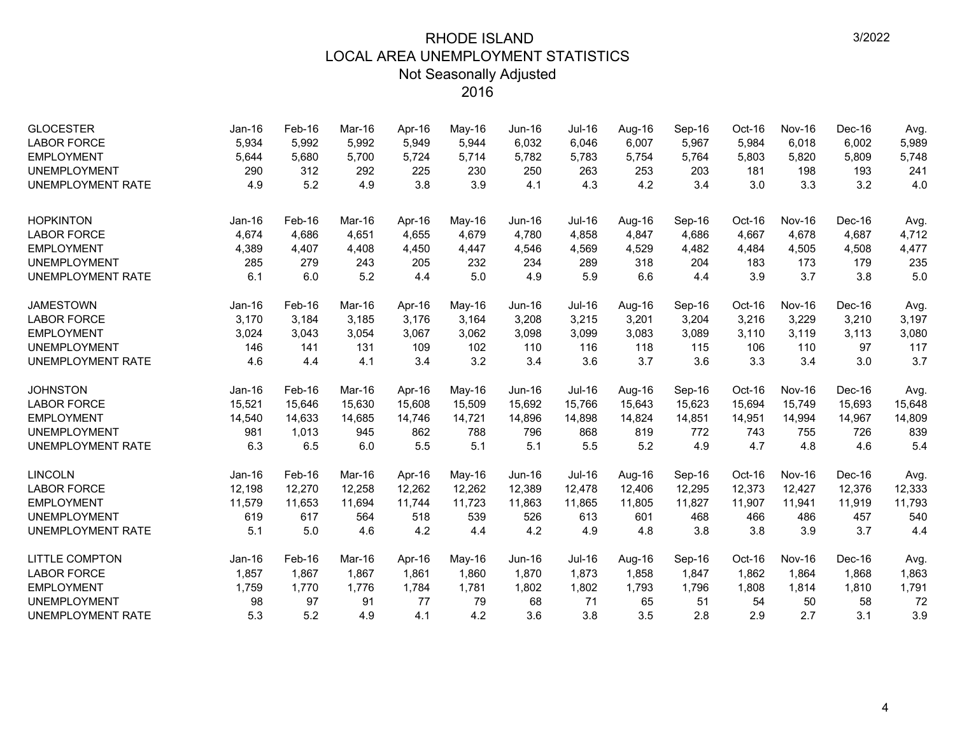| <b>GLOCESTER</b><br><b>LABOR FORCE</b><br><b>EMPLOYMENT</b><br><b>UNEMPLOYMENT</b><br><b>UNEMPLOYMENT RATE</b> | Jan-16<br>5,934<br>5,644<br>290<br>4.9 | Feb-16<br>5,992<br>5,680<br>312<br>5.2 | Mar-16<br>5,992<br>5,700<br>292<br>4.9 | Apr-16<br>5,949<br>5,724<br>225<br>3.8 | May-16<br>5,944<br>5,714<br>230<br>3.9 | $Jun-16$<br>6,032<br>5,782<br>250<br>4.1 | Jul-16<br>6,046<br>5,783<br>263<br>4.3 | Aug-16<br>6,007<br>5,754<br>253<br>4.2 | Sep-16<br>5,967<br>5,764<br>203<br>3.4 | Oct-16<br>5,984<br>5,803<br>181<br>3.0 | <b>Nov-16</b><br>6,018<br>5,820<br>198<br>3.3 | Dec-16<br>6,002<br>5,809<br>193<br>3.2 | Avg.<br>5,989<br>5,748<br>241<br>4.0 |
|----------------------------------------------------------------------------------------------------------------|----------------------------------------|----------------------------------------|----------------------------------------|----------------------------------------|----------------------------------------|------------------------------------------|----------------------------------------|----------------------------------------|----------------------------------------|----------------------------------------|-----------------------------------------------|----------------------------------------|--------------------------------------|
|                                                                                                                |                                        |                                        |                                        |                                        |                                        |                                          |                                        |                                        |                                        |                                        |                                               |                                        |                                      |
| <b>HOPKINTON</b>                                                                                               | $Jan-16$                               | Feb-16                                 | Mar-16                                 | Apr-16                                 | May-16                                 | $Jun-16$                                 | Jul-16                                 | Aug-16                                 | Sep-16                                 | Oct-16                                 | <b>Nov-16</b>                                 | Dec-16                                 | Avg.                                 |
| <b>LABOR FORCE</b>                                                                                             | 4,674                                  | 4,686                                  | 4.651                                  | 4,655                                  | 4,679                                  | 4.780                                    | 4,858                                  | 4,847                                  | 4,686                                  | 4,667                                  | 4,678                                         | 4,687                                  | 4,712                                |
| <b>EMPLOYMENT</b>                                                                                              | 4,389                                  | 4,407                                  | 4,408                                  | 4,450                                  | 4,447                                  | 4,546                                    | 4,569                                  | 4,529                                  | 4,482                                  | 4,484                                  | 4,505                                         | 4,508                                  | 4,477                                |
| <b>UNEMPLOYMENT</b>                                                                                            | 285                                    | 279                                    | 243                                    | 205                                    | 232                                    | 234                                      | 289                                    | 318                                    | 204                                    | 183                                    | 173                                           | 179                                    | 235                                  |
| <b>UNEMPLOYMENT RATE</b>                                                                                       | 6.1                                    | 6.0                                    | 5.2                                    | 4.4                                    | 5.0                                    | 4.9                                      | 5.9                                    | 6.6                                    | 4.4                                    | 3.9                                    | 3.7                                           | 3.8                                    | 5.0                                  |
| <b>JAMESTOWN</b>                                                                                               | Jan-16                                 | Feb-16                                 | Mar-16                                 | Apr-16                                 | May-16                                 | $Jun-16$                                 | <b>Jul-16</b>                          | Aug-16                                 | Sep-16                                 | Oct-16                                 | <b>Nov-16</b>                                 | Dec-16                                 | Avg.                                 |
| <b>LABOR FORCE</b>                                                                                             | 3,170                                  | 3,184                                  | 3,185                                  | 3,176                                  | 3,164                                  | 3,208                                    | 3,215                                  | 3,201                                  | 3,204                                  | 3,216                                  | 3,229                                         | 3,210                                  | 3,197                                |
| <b>EMPLOYMENT</b>                                                                                              | 3,024                                  | 3,043                                  | 3,054                                  | 3,067                                  | 3,062                                  | 3,098                                    | 3,099                                  | 3,083                                  | 3,089                                  | 3,110                                  | 3,119                                         | 3,113                                  | 3,080                                |
| <b>UNEMPLOYMENT</b>                                                                                            | 146                                    | 141                                    | 131                                    | 109                                    | 102                                    | 110                                      | 116                                    | 118                                    | 115                                    | 106                                    | 110                                           | 97                                     | 117                                  |
| <b>UNEMPLOYMENT RATE</b>                                                                                       | 4.6                                    | 4.4                                    | 4.1                                    | 3.4                                    | 3.2                                    | 3.4                                      | 3.6                                    | 3.7                                    | 3.6                                    | 3.3                                    | 3.4                                           | 3.0                                    | 3.7                                  |
| <b>JOHNSTON</b>                                                                                                | Jan-16                                 | Feb-16                                 | Mar-16                                 | Apr-16                                 | May-16                                 | Jun-16                                   | <b>Jul-16</b>                          | Aug-16                                 | Sep-16                                 | Oct-16                                 | <b>Nov-16</b>                                 | Dec-16                                 | Avg.                                 |
| <b>LABOR FORCE</b>                                                                                             | 15,521                                 | 15,646                                 | 15,630                                 | 15,608                                 | 15,509                                 | 15,692                                   | 15,766                                 | 15,643                                 | 15,623                                 | 15,694                                 | 15,749                                        | 15,693                                 | 15,648                               |
| <b>EMPLOYMENT</b>                                                                                              | 14,540                                 | 14,633                                 | 14,685                                 | 14,746                                 | 14,721                                 | 14,896                                   | 14,898                                 | 14,824                                 | 14,851                                 | 14,951                                 | 14,994                                        | 14,967                                 | 14,809                               |
| <b>UNEMPLOYMENT</b>                                                                                            | 981                                    | 1,013                                  | 945                                    | 862                                    | 788                                    | 796                                      | 868                                    | 819                                    | 772                                    | 743                                    | 755                                           | 726                                    | 839                                  |
| <b>UNEMPLOYMENT RATE</b>                                                                                       | 6.3                                    | 6.5                                    | 6.0                                    | 5.5                                    | 5.1                                    | 5.1                                      | 5.5                                    | 5.2                                    | 4.9                                    | 4.7                                    | 4.8                                           | 4.6                                    | 5.4                                  |
| <b>LINCOLN</b>                                                                                                 | $Jan-16$                               | Feb-16                                 | Mar-16                                 | Apr-16                                 | May-16                                 | $Jun-16$                                 | <b>Jul-16</b>                          | Aug-16                                 | Sep-16                                 | Oct-16                                 | <b>Nov-16</b>                                 | Dec-16                                 | Avg.                                 |
| <b>LABOR FORCE</b>                                                                                             | 12,198                                 | 12,270                                 | 12.258                                 | 12,262                                 | 12,262                                 | 12,389                                   | 12,478                                 | 12,406                                 | 12,295                                 | 12,373                                 | 12.427                                        | 12,376                                 | 12,333                               |
| <b>EMPLOYMENT</b>                                                                                              | 11,579                                 | 11,653                                 | 11,694                                 | 11,744                                 | 11,723                                 | 11,863                                   | 11,865                                 | 11,805                                 | 11,827                                 | 11,907                                 | 11,941                                        | 11,919                                 | 11,793                               |
| <b>UNEMPLOYMENT</b>                                                                                            | 619                                    | 617                                    | 564                                    | 518                                    | 539                                    | 526                                      | 613                                    | 601                                    | 468                                    | 466                                    | 486                                           | 457                                    | 540                                  |
| <b>UNEMPLOYMENT RATE</b>                                                                                       | 5.1                                    | 5.0                                    | 4.6                                    | 4.2                                    | 4.4                                    | 4.2                                      | 4.9                                    | 4.8                                    | 3.8                                    | 3.8                                    | 3.9                                           | 3.7                                    | 4.4                                  |
| <b>LITTLE COMPTON</b>                                                                                          | Jan-16                                 | Feb-16                                 | Mar-16                                 | Apr-16                                 | May-16                                 | $Jun-16$                                 | <b>Jul-16</b>                          | Aug-16                                 | Sep-16                                 | Oct-16                                 | <b>Nov-16</b>                                 | Dec-16                                 | Avg.                                 |
| <b>LABOR FORCE</b>                                                                                             | 1,857                                  | 1,867                                  | 1,867                                  | 1,861                                  | 1,860                                  | 1,870                                    | 1,873                                  | 1,858                                  | 1,847                                  | 1,862                                  | 1,864                                         | 1,868                                  | 1,863                                |
| <b>EMPLOYMENT</b>                                                                                              | 1,759                                  | 1,770                                  | 1,776                                  | 1,784                                  | 1,781                                  | 1,802                                    | 1,802                                  | 1,793                                  | 1,796                                  | 1,808                                  | 1,814                                         | 1,810                                  | 1,791                                |
| <b>UNEMPLOYMENT</b>                                                                                            | 98                                     | 97                                     | 91                                     | 77                                     | 79                                     | 68                                       | 71                                     | 65                                     | 51                                     | 54                                     | 50                                            | 58                                     | 72                                   |
| <b>UNEMPLOYMENT RATE</b>                                                                                       | 5.3                                    | 5.2                                    | 4.9                                    | 4.1                                    | 4.2                                    | 3.6                                      | 3.8                                    | 3.5                                    | 2.8                                    | 2.9                                    | 2.7                                           | 3.1                                    | 3.9                                  |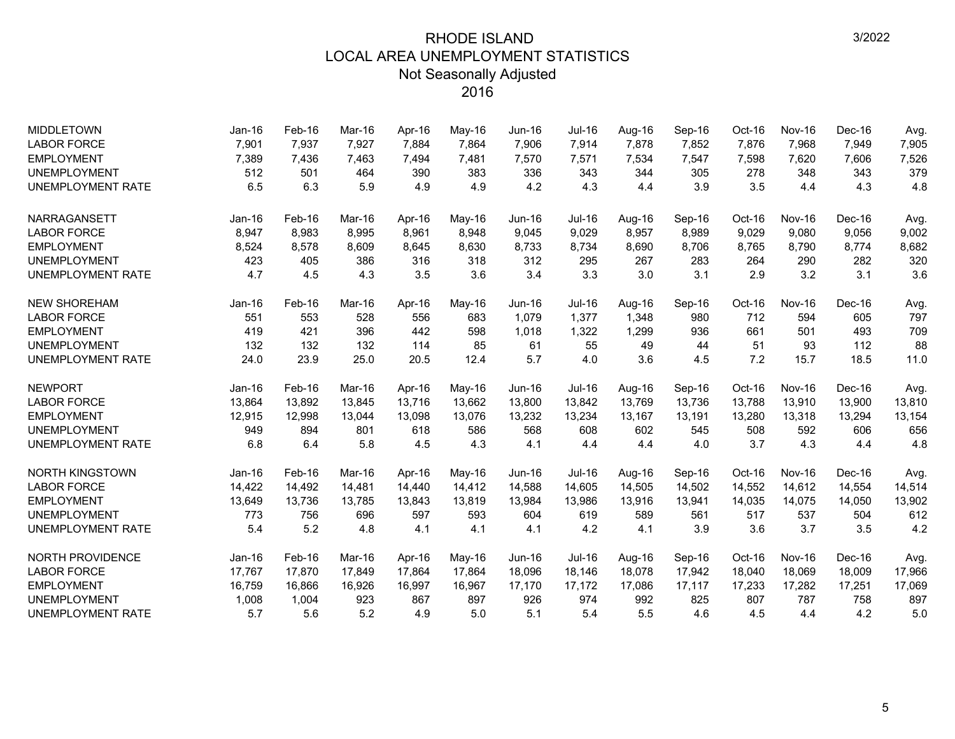| <b>MIDDLETOWN</b>        | $Jan-16$ | Feb-16   | Mar-16 | Apr-16 | May-16   | Jun-16        | Jul-16        | Aug-16 | Sep-16 | Oct-16 | <b>Nov-16</b> | Dec-16 | Avg.   |
|--------------------------|----------|----------|--------|--------|----------|---------------|---------------|--------|--------|--------|---------------|--------|--------|
| <b>LABOR FORCE</b>       | 7,901    | 7,937    | 7,927  | 7,884  | 7,864    | 7,906         | 7,914         | 7,878  | 7,852  | 7,876  | 7,968         | 7,949  | 7,905  |
| <b>EMPLOYMENT</b>        | 7,389    | 7,436    | 7,463  | 7,494  | 7,481    | 7,570         | 7,571         | 7,534  | 7,547  | 7,598  | 7,620         | 7,606  | 7,526  |
| <b>UNEMPLOYMENT</b>      | 512      | 501      | 464    | 390    | 383      | 336           | 343           | 344    | 305    | 278    | 348           | 343    | 379    |
| <b>UNEMPLOYMENT RATE</b> | 6.5      | 6.3      | 5.9    | 4.9    | 4.9      | 4.2           | 4.3           | 4.4    | 3.9    | 3.5    | 4.4           | 4.3    | 4.8    |
| <b>NARRAGANSETT</b>      | $Jan-16$ | Feb-16   | Mar-16 | Apr-16 | $May-16$ | Jun-16        | Jul-16        | Aug-16 | Sep-16 | Oct-16 | <b>Nov-16</b> | Dec-16 | Avg.   |
| <b>LABOR FORCE</b>       | 8,947    | 8,983    | 8.995  | 8,961  | 8,948    | 9,045         | 9,029         | 8,957  | 8,989  | 9,029  | 9,080         | 9,056  | 9,002  |
| <b>EMPLOYMENT</b>        | 8,524    | 8,578    | 8,609  | 8,645  | 8,630    | 8,733         | 8,734         | 8,690  | 8,706  | 8,765  | 8,790         | 8,774  | 8,682  |
| <b>UNEMPLOYMENT</b>      | 423      | 405      | 386    | 316    | 318      | 312           | 295           | 267    | 283    | 264    | 290           | 282    | 320    |
| <b>UNEMPLOYMENT RATE</b> | 4.7      | 4.5      | 4.3    | 3.5    | 3.6      | 3.4           | 3.3           | 3.0    | 3.1    | 2.9    | 3.2           | 3.1    | 3.6    |
| <b>NEW SHOREHAM</b>      | $Jan-16$ | $Feb-16$ | Mar-16 | Apr-16 | May-16   | $Jun-16$      | <b>Jul-16</b> | Aug-16 | Sep-16 | Oct-16 | <b>Nov-16</b> | Dec-16 | Avg.   |
| <b>LABOR FORCE</b>       | 551      | 553      | 528    | 556    | 683      | 1,079         | 1,377         | 1,348  | 980    | 712    | 594           | 605    | 797    |
| <b>EMPLOYMENT</b>        | 419      | 421      | 396    | 442    | 598      | 1,018         | 1,322         | 1,299  | 936    | 661    | 501           | 493    | 709    |
| <b>UNEMPLOYMENT</b>      | 132      | 132      | 132    | 114    | 85       | 61            | 55            | 49     | 44     | 51     | 93            | 112    | 88     |
| <b>UNEMPLOYMENT RATE</b> | 24.0     | 23.9     | 25.0   | 20.5   | 12.4     | 5.7           | 4.0           | 3.6    | 4.5    | 7.2    | 15.7          | 18.5   | 11.0   |
| <b>NEWPORT</b>           | $Jan-16$ | Feb-16   | Mar-16 | Apr-16 | May-16   | $Jun-16$      | Jul-16        | Aug-16 | Sep-16 | Oct-16 | <b>Nov-16</b> | Dec-16 | Avg.   |
| <b>LABOR FORCE</b>       | 13,864   | 13,892   | 13,845 | 13,716 | 13,662   | 13,800        | 13,842        | 13,769 | 13,736 | 13,788 | 13,910        | 13,900 | 13,810 |
| <b>EMPLOYMENT</b>        | 12,915   | 12,998   | 13,044 | 13,098 | 13,076   | 13,232        | 13,234        | 13,167 | 13,191 | 13,280 | 13,318        | 13,294 | 13,154 |
| <b>UNEMPLOYMENT</b>      | 949      | 894      | 801    | 618    | 586      | 568           | 608           | 602    | 545    | 508    | 592           | 606    | 656    |
| <b>UNEMPLOYMENT RATE</b> | 6.8      | 6.4      | 5.8    | 4.5    | 4.3      | 4.1           | 4.4           | 4.4    | 4.0    | 3.7    | 4.3           | 4.4    | 4.8    |
| <b>NORTH KINGSTOWN</b>   | $Jan-16$ | Feb-16   | Mar-16 | Apr-16 | May-16   | $Jun-16$      | $Jul-16$      | Aug-16 | Sep-16 | Oct-16 | <b>Nov-16</b> | Dec-16 | Avg.   |
| <b>LABOR FORCE</b>       | 14,422   | 14,492   | 14,481 | 14,440 | 14,412   | 14,588        | 14,605        | 14,505 | 14,502 | 14,552 | 14,612        | 14,554 | 14,514 |
| <b>EMPLOYMENT</b>        | 13,649   | 13,736   | 13,785 | 13,843 | 13,819   | 13,984        | 13,986        | 13,916 | 13,941 | 14,035 | 14,075        | 14,050 | 13,902 |
| <b>UNEMPLOYMENT</b>      | 773      | 756      | 696    | 597    | 593      | 604           | 619           | 589    | 561    | 517    | 537           | 504    | 612    |
| <b>UNEMPLOYMENT RATE</b> | 5.4      | 5.2      | 4.8    | 4.1    | 4.1      | 4.1           | 4.2           | 4.1    | 3.9    | 3.6    | 3.7           | 3.5    | 4.2    |
| <b>NORTH PROVIDENCE</b>  | $Jan-16$ | Feb-16   | Mar-16 | Apr-16 | May-16   | <b>Jun-16</b> | Jul-16        | Aug-16 | Sep-16 | Oct-16 | <b>Nov-16</b> | Dec-16 | Avg.   |
| <b>LABOR FORCE</b>       | 17,767   | 17,870   | 17,849 | 17,864 | 17,864   | 18,096        | 18,146        | 18,078 | 17,942 | 18,040 | 18,069        | 18,009 | 17,966 |
| <b>EMPLOYMENT</b>        | 16,759   | 16,866   | 16,926 | 16,997 | 16,967   | 17,170        | 17,172        | 17,086 | 17,117 | 17,233 | 17,282        | 17,251 | 17,069 |
| <b>UNEMPLOYMENT</b>      | 1,008    | 1,004    | 923    | 867    | 897      | 926           | 974           | 992    | 825    | 807    | 787           | 758    | 897    |
| <b>UNEMPLOYMENT RATE</b> | 5.7      | 5.6      | 5.2    | 4.9    | 5.0      | 5.1           | 5.4           | 5.5    | 4.6    | 4.5    | 4.4           | 4.2    | 5.0    |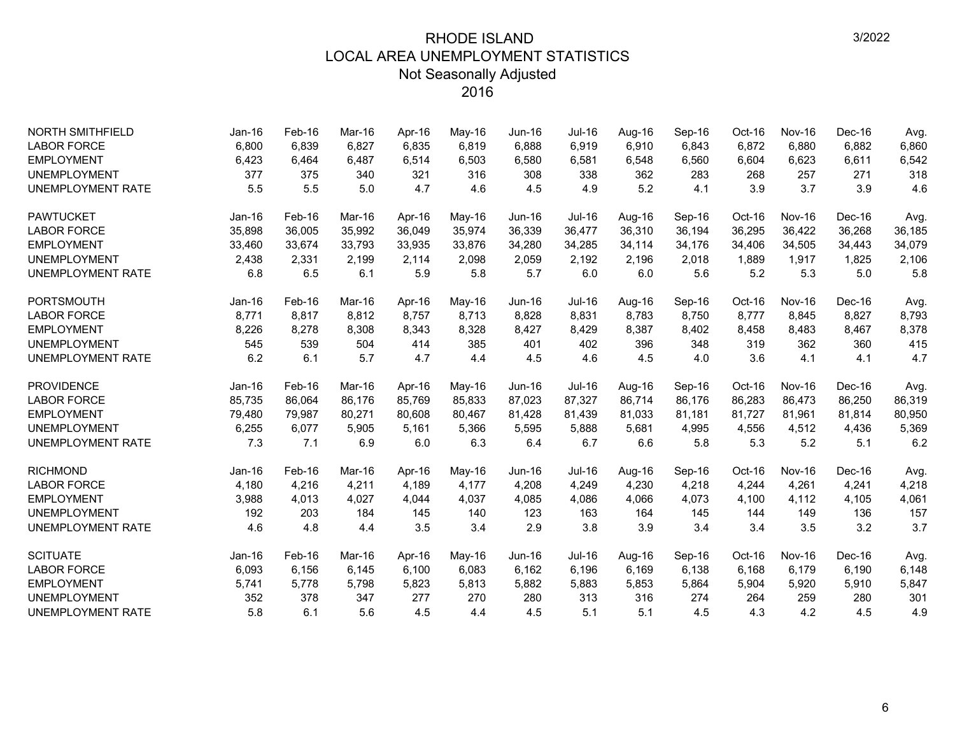| <b>NORTH SMITHFIELD</b>  | Jan-16   | Feb-16 | Mar-16 | Apr-16 | May-16 | <b>Jun-16</b> | <b>Jul-16</b> | Aug-16 | Sep-16 | $Oct-16$ | <b>Nov-16</b> | Dec-16 | Avg.   |
|--------------------------|----------|--------|--------|--------|--------|---------------|---------------|--------|--------|----------|---------------|--------|--------|
| <b>LABOR FORCE</b>       | 6,800    | 6,839  | 6.827  | 6,835  | 6,819  | 6,888         | 6,919         | 6,910  | 6,843  | 6,872    | 6,880         | 6,882  | 6,860  |
| <b>EMPLOYMENT</b>        | 6,423    | 6,464  | 6,487  | 6,514  | 6,503  | 6,580         | 6,581         | 6,548  | 6,560  | 6,604    | 6,623         | 6,611  | 6,542  |
| <b>UNEMPLOYMENT</b>      | 377      | 375    | 340    | 321    | 316    | 308           | 338           | 362    | 283    | 268      | 257           | 271    | 318    |
| <b>UNEMPLOYMENT RATE</b> | 5.5      | 5.5    | 5.0    | 4.7    | 4.6    | 4.5           | 4.9           | 5.2    | 4.1    | 3.9      | 3.7           | 3.9    | 4.6    |
| <b>PAWTUCKET</b>         | $Jan-16$ | Feb-16 | Mar-16 | Apr-16 | May-16 | $Jun-16$      | Jul-16        | Aug-16 | Sep-16 | Oct-16   | <b>Nov-16</b> | Dec-16 | Avg.   |
| <b>LABOR FORCE</b>       | 35,898   | 36,005 | 35,992 | 36,049 | 35,974 | 36,339        | 36,477        | 36,310 | 36,194 | 36,295   | 36,422        | 36,268 | 36,185 |
| <b>EMPLOYMENT</b>        | 33,460   | 33,674 | 33,793 | 33,935 | 33,876 | 34,280        | 34,285        | 34,114 | 34,176 | 34,406   | 34,505        | 34,443 | 34,079 |
| <b>UNEMPLOYMENT</b>      | 2,438    | 2,331  | 2,199  | 2,114  | 2,098  | 2,059         | 2,192         | 2,196  | 2,018  | 1,889    | 1,917         | 1,825  | 2,106  |
| <b>UNEMPLOYMENT RATE</b> | 6.8      | 6.5    | 6.1    | 5.9    | 5.8    | 5.7           | 6.0           | 6.0    | 5.6    | 5.2      | 5.3           | 5.0    | 5.8    |
| <b>PORTSMOUTH</b>        | $Jan-16$ | Feb-16 | Mar-16 | Apr-16 | May-16 | $Jun-16$      | <b>Jul-16</b> | Aug-16 | Sep-16 | Oct-16   | <b>Nov-16</b> | Dec-16 | Avg.   |
| <b>LABOR FORCE</b>       | 8,771    | 8,817  | 8,812  | 8,757  | 8,713  | 8,828         | 8,831         | 8,783  | 8,750  | 8,777    | 8,845         | 8,827  | 8,793  |
| <b>EMPLOYMENT</b>        | 8,226    | 8,278  | 8,308  | 8,343  | 8,328  | 8,427         | 8,429         | 8,387  | 8,402  | 8,458    | 8,483         | 8,467  | 8,378  |
| <b>UNEMPLOYMENT</b>      | 545      | 539    | 504    | 414    | 385    | 401           | 402           | 396    | 348    | 319      | 362           | 360    | 415    |
| <b>UNEMPLOYMENT RATE</b> | 6.2      | 6.1    | 5.7    | 4.7    | 4.4    | 4.5           | 4.6           | 4.5    | 4.0    | 3.6      | 4.1           | 4.1    | 4.7    |
| <b>PROVIDENCE</b>        | $Jan-16$ | Feb-16 | Mar-16 | Apr-16 | May-16 | $Jun-16$      | <b>Jul-16</b> | Aug-16 | Sep-16 | Oct-16   | <b>Nov-16</b> | Dec-16 | Avg.   |
| <b>LABOR FORCE</b>       | 85,735   | 86,064 | 86,176 | 85,769 | 85,833 | 87,023        | 87,327        | 86,714 | 86,176 | 86,283   | 86,473        | 86,250 | 86,319 |
| <b>EMPLOYMENT</b>        | 79,480   | 79,987 | 80,271 | 80,608 | 80,467 | 81,428        | 81,439        | 81,033 | 81,181 | 81,727   | 81,961        | 81,814 | 80,950 |
| <b>UNEMPLOYMENT</b>      | 6,255    | 6,077  | 5,905  | 5,161  | 5,366  | 5,595         | 5,888         | 5,681  | 4,995  | 4,556    | 4,512         | 4,436  | 5,369  |
| <b>UNEMPLOYMENT RATE</b> | 7.3      | 7.1    | 6.9    | 6.0    | 6.3    | 6.4           | 6.7           | 6.6    | 5.8    | 5.3      | 5.2           | 5.1    | 6.2    |
| <b>RICHMOND</b>          | Jan-16   | Feb-16 | Mar-16 | Apr-16 | May-16 | $Jun-16$      | <b>Jul-16</b> | Aug-16 | Sep-16 | Oct-16   | <b>Nov-16</b> | Dec-16 | Avg.   |
| <b>LABOR FORCE</b>       | 4,180    | 4,216  | 4,211  | 4,189  | 4,177  | 4,208         | 4,249         | 4,230  | 4,218  | 4,244    | 4,261         | 4,241  | 4,218  |
| <b>EMPLOYMENT</b>        | 3,988    | 4,013  | 4,027  | 4,044  | 4,037  | 4,085         | 4,086         | 4,066  | 4,073  | 4,100    | 4,112         | 4,105  | 4,061  |
| <b>UNEMPLOYMENT</b>      | 192      | 203    | 184    | 145    | 140    | 123           | 163           | 164    | 145    | 144      | 149           | 136    | 157    |
| <b>UNEMPLOYMENT RATE</b> | 4.6      | 4.8    | 4.4    | 3.5    | 3.4    | 2.9           | 3.8           | 3.9    | 3.4    | 3.4      | 3.5           | 3.2    | 3.7    |
| <b>SCITUATE</b>          | Jan-16   | Feb-16 | Mar-16 | Apr-16 | May-16 | $Jun-16$      | Jul-16        | Aug-16 | Sep-16 | Oct-16   | <b>Nov-16</b> | Dec-16 | Avg.   |
| <b>LABOR FORCE</b>       | 6,093    | 6,156  | 6,145  | 6,100  | 6,083  | 6,162         | 6,196         | 6,169  | 6,138  | 6,168    | 6,179         | 6,190  | 6,148  |
| <b>EMPLOYMENT</b>        | 5,741    | 5,778  | 5,798  | 5,823  | 5,813  | 5,882         | 5,883         | 5,853  | 5,864  | 5,904    | 5,920         | 5,910  | 5,847  |
| <b>UNEMPLOYMENT</b>      | 352      | 378    | 347    | 277    | 270    | 280           | 313           | 316    | 274    | 264      | 259           | 280    | 301    |
| <b>UNEMPLOYMENT RATE</b> | 5.8      | 6.1    | 5.6    | 4.5    | 4.4    | 4.5           | 5.1           | 5.1    | 4.5    | 4.3      | 4.2           | 4.5    | 4.9    |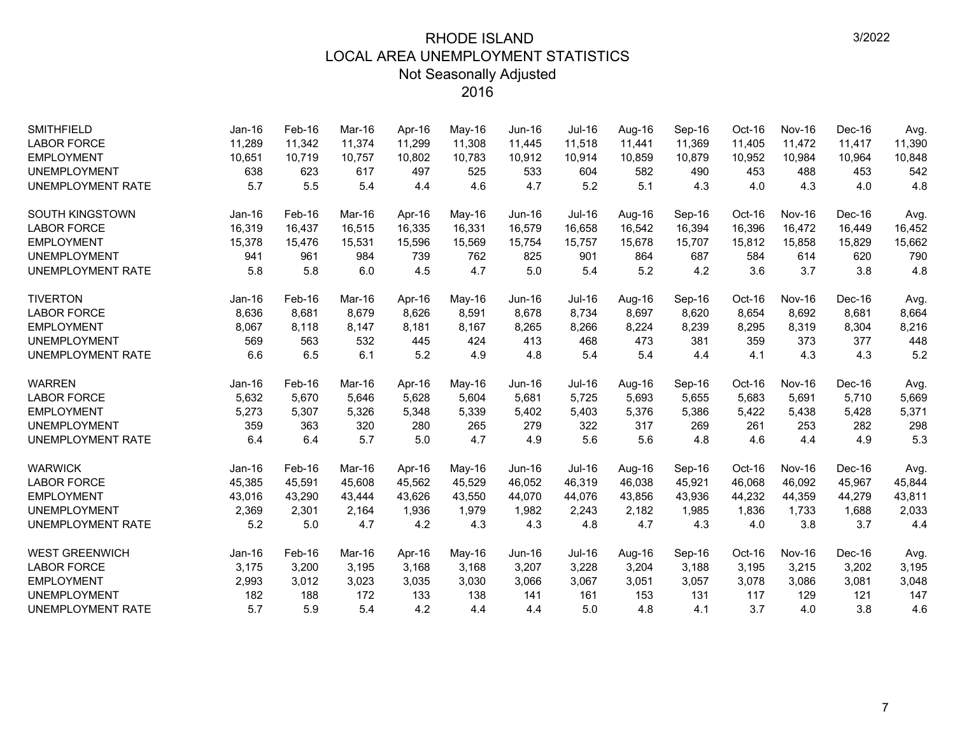| <b>SMITHFIELD</b>        | $Jan-16$ | Feb-16 | Mar-16 | Apr-16 | May-16 | <b>Jun-16</b> | Jul-16        | Aug-16 | Sep-16 | Oct-16 | <b>Nov-16</b> | Dec-16 | Avg.   |
|--------------------------|----------|--------|--------|--------|--------|---------------|---------------|--------|--------|--------|---------------|--------|--------|
| <b>LABOR FORCE</b>       | 11,289   | 11,342 | 11,374 | 11,299 | 11,308 | 11,445        | 11,518        | 11,441 | 11,369 | 11,405 | 11,472        | 11,417 | 11,390 |
| <b>EMPLOYMENT</b>        | 10,651   | 10,719 | 10,757 | 10,802 | 10,783 | 10,912        | 10,914        | 10,859 | 10,879 | 10,952 | 10,984        | 10,964 | 10,848 |
| <b>UNEMPLOYMENT</b>      | 638      | 623    | 617    | 497    | 525    | 533           | 604           | 582    | 490    | 453    | 488           | 453    | 542    |
| <b>UNEMPLOYMENT RATE</b> | 5.7      | 5.5    | 5.4    | 4.4    | 4.6    | 4.7           | 5.2           | 5.1    | 4.3    | 4.0    | 4.3           | 4.0    | 4.8    |
| <b>SOUTH KINGSTOWN</b>   | $Jan-16$ | Feb-16 | Mar-16 | Apr-16 | May-16 | $Jun-16$      | <b>Jul-16</b> | Aug-16 | Sep-16 | Oct-16 | <b>Nov-16</b> | Dec-16 | Avg.   |
| <b>LABOR FORCE</b>       | 16,319   | 16,437 | 16,515 | 16,335 | 16,331 | 16,579        | 16,658        | 16,542 | 16,394 | 16,396 | 16,472        | 16,449 | 16,452 |
| <b>EMPLOYMENT</b>        | 15,378   | 15,476 | 15,531 | 15,596 | 15,569 | 15,754        | 15,757        | 15,678 | 15,707 | 15,812 | 15,858        | 15,829 | 15,662 |
| <b>UNEMPLOYMENT</b>      | 941      | 961    | 984    | 739    | 762    | 825           | 901           | 864    | 687    | 584    | 614           | 620    | 790    |
| <b>UNEMPLOYMENT RATE</b> | 5.8      | 5.8    | 6.0    | 4.5    | 4.7    | 5.0           | 5.4           | 5.2    | 4.2    | 3.6    | 3.7           | 3.8    | 4.8    |
| <b>TIVERTON</b>          | Jan-16   | Feb-16 | Mar-16 | Apr-16 | May-16 | Jun-16        | <b>Jul-16</b> | Aug-16 | Sep-16 | Oct-16 | <b>Nov-16</b> | Dec-16 | Avg.   |
| <b>LABOR FORCE</b>       | 8,636    | 8,681  | 8.679  | 8,626  | 8,591  | 8,678         | 8,734         | 8,697  | 8,620  | 8,654  | 8,692         | 8,681  | 8,664  |
| <b>EMPLOYMENT</b>        | 8,067    | 8,118  | 8,147  | 8,181  | 8,167  | 8,265         | 8,266         | 8,224  | 8,239  | 8,295  | 8,319         | 8,304  | 8,216  |
| <b>UNEMPLOYMENT</b>      | 569      | 563    | 532    | 445    | 424    | 413           | 468           | 473    | 381    | 359    | 373           | 377    | 448    |
| <b>UNEMPLOYMENT RATE</b> | 6.6      | 6.5    | 6.1    | 5.2    | 4.9    | 4.8           | 5.4           | 5.4    | 4.4    | 4.1    | 4.3           | 4.3    | 5.2    |
| <b>WARREN</b>            | Jan-16   | Feb-16 | Mar-16 | Apr-16 | May-16 | <b>Jun-16</b> | <b>Jul-16</b> | Aug-16 | Sep-16 | Oct-16 | <b>Nov-16</b> | Dec-16 | Avg.   |
| <b>LABOR FORCE</b>       | 5,632    | 5,670  | 5.646  | 5,628  | 5,604  | 5,681         | 5,725         | 5,693  | 5,655  | 5,683  | 5,691         | 5,710  | 5,669  |
| <b>EMPLOYMENT</b>        | 5,273    | 5,307  | 5,326  | 5,348  | 5,339  | 5,402         | 5,403         | 5,376  | 5,386  | 5,422  | 5,438         | 5,428  | 5,371  |
| <b>UNEMPLOYMENT</b>      | 359      | 363    | 320    | 280    | 265    | 279           | 322           | 317    | 269    | 261    | 253           | 282    | 298    |
| <b>UNEMPLOYMENT RATE</b> | 6.4      | 6.4    | 5.7    | 5.0    | 4.7    | 4.9           | 5.6           | 5.6    | 4.8    | 4.6    | 4.4           | 4.9    | 5.3    |
| <b>WARWICK</b>           | $Jan-16$ | Feb-16 | Mar-16 | Apr-16 | May-16 | <b>Jun-16</b> | <b>Jul-16</b> | Aug-16 | Sep-16 | Oct-16 | <b>Nov-16</b> | Dec-16 | Avg.   |
| <b>LABOR FORCE</b>       | 45,385   | 45,591 | 45,608 | 45,562 | 45,529 | 46,052        | 46,319        | 46,038 | 45,921 | 46,068 | 46,092        | 45,967 | 45,844 |
| <b>EMPLOYMENT</b>        | 43,016   | 43,290 | 43,444 | 43,626 | 43,550 | 44,070        | 44,076        | 43,856 | 43,936 | 44,232 | 44,359        | 44,279 | 43,811 |
| <b>UNEMPLOYMENT</b>      | 2,369    | 2,301  | 2,164  | 1,936  | 1,979  | 1,982         | 2,243         | 2,182  | 1,985  | 1,836  | 1,733         | 1,688  | 2,033  |
| <b>UNEMPLOYMENT RATE</b> | 5.2      | 5.0    | 4.7    | 4.2    | 4.3    | 4.3           | 4.8           | 4.7    | 4.3    | 4.0    | 3.8           | 3.7    | 4.4    |
| <b>WEST GREENWICH</b>    | Jan-16   | Feb-16 | Mar-16 | Apr-16 | May-16 | $Jun-16$      | <b>Jul-16</b> | Aug-16 | Sep-16 | Oct-16 | <b>Nov-16</b> | Dec-16 | Avg.   |
| <b>LABOR FORCE</b>       | 3,175    | 3,200  | 3,195  | 3,168  | 3,168  | 3,207         | 3,228         | 3,204  | 3,188  | 3,195  | 3,215         | 3,202  | 3,195  |
| <b>EMPLOYMENT</b>        | 2,993    | 3,012  | 3,023  | 3,035  | 3,030  | 3,066         | 3,067         | 3,051  | 3,057  | 3,078  | 3,086         | 3,081  | 3,048  |
| <b>UNEMPLOYMENT</b>      | 182      | 188    | 172    | 133    | 138    | 141           | 161           | 153    | 131    | 117    | 129           | 121    | 147    |
| <b>UNEMPLOYMENT RATE</b> | 5.7      | 5.9    | 5.4    | 4.2    | 4.4    | 4.4           | 5.0           | 4.8    | 4.1    | 3.7    | 4.0           | 3.8    | 4.6    |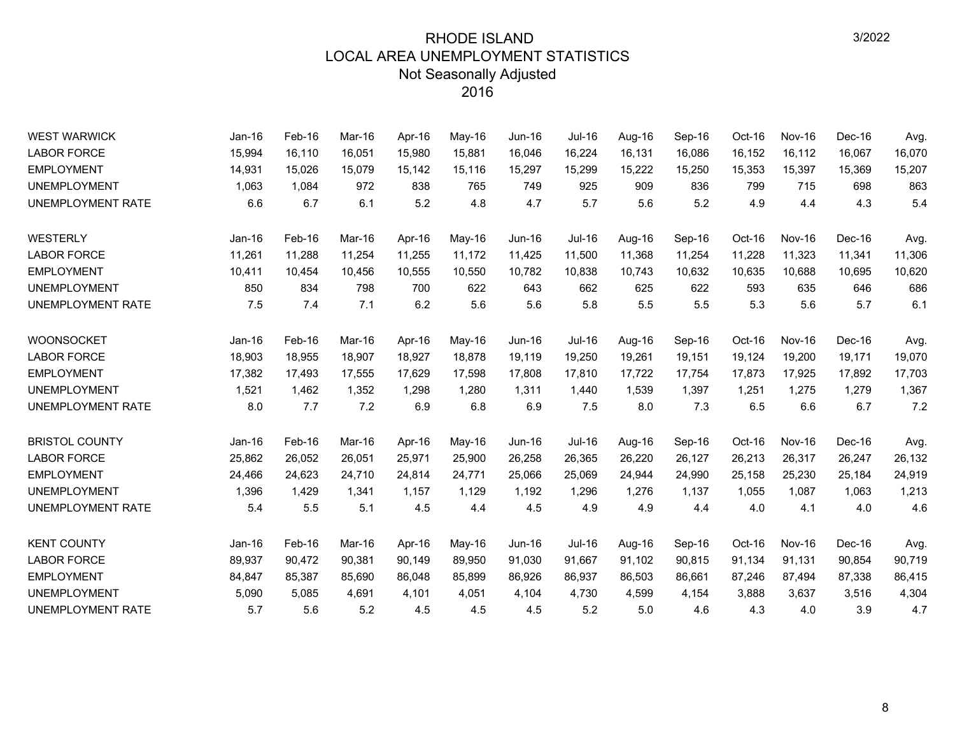| <b>WEST WARWICK</b>   | $Jan-16$ | Feb-16 | Mar-16 | Apr-16 | May-16 | <b>Jun-16</b> | <b>Jul-16</b> | Aug-16 | Sep-16 | Oct-16 | <b>Nov-16</b> | Dec-16 | Avg.   |
|-----------------------|----------|--------|--------|--------|--------|---------------|---------------|--------|--------|--------|---------------|--------|--------|
| <b>LABOR FORCE</b>    | 15,994   | 16,110 | 16,051 | 15,980 | 15,881 | 16,046        | 16,224        | 16,131 | 16,086 | 16,152 | 16,112        | 16,067 | 16,070 |
| <b>EMPLOYMENT</b>     | 14,931   | 15,026 | 15,079 | 15,142 | 15,116 | 15,297        | 15,299        | 15,222 | 15,250 | 15,353 | 15,397        | 15,369 | 15,207 |
| <b>UNEMPLOYMENT</b>   | 1,063    | 1,084  | 972    | 838    | 765    | 749           | 925           | 909    | 836    | 799    | 715           | 698    | 863    |
| UNEMPLOYMENT RATE     | 6.6      | 6.7    | 6.1    | 5.2    | 4.8    | 4.7           | 5.7           | 5.6    | 5.2    | 4.9    | 4.4           | 4.3    | 5.4    |
| WESTERLY              | Jan-16   | Feb-16 | Mar-16 | Apr-16 | May-16 | <b>Jun-16</b> | <b>Jul-16</b> | Aug-16 | Sep-16 | Oct-16 | <b>Nov-16</b> | Dec-16 | Avg.   |
| <b>LABOR FORCE</b>    | 11,261   | 11,288 | 11,254 | 11,255 | 11,172 | 11,425        | 11,500        | 11,368 | 11,254 | 11,228 | 11,323        | 11,341 | 11,306 |
| <b>EMPLOYMENT</b>     | 10,411   | 10,454 | 10,456 | 10,555 | 10,550 | 10,782        | 10,838        | 10,743 | 10,632 | 10,635 | 10,688        | 10,695 | 10,620 |
| <b>UNEMPLOYMENT</b>   | 850      | 834    | 798    | 700    | 622    | 643           | 662           | 625    | 622    | 593    | 635           | 646    | 686    |
| UNEMPLOYMENT RATE     | 7.5      | 7.4    | 7.1    | 6.2    | 5.6    | 5.6           | 5.8           | 5.5    | 5.5    | 5.3    | 5.6           | 5.7    | 6.1    |
| WOONSOCKET            | Jan-16   | Feb-16 | Mar-16 | Apr-16 | May-16 | Jun-16        | Jul-16        | Aug-16 | Sep-16 | Oct-16 | <b>Nov-16</b> | Dec-16 | Avg.   |
| <b>LABOR FORCE</b>    | 18,903   | 18,955 | 18,907 | 18,927 | 18,878 | 19,119        | 19,250        | 19,261 | 19,151 | 19,124 | 19,200        | 19,171 | 19,070 |
| <b>EMPLOYMENT</b>     | 17,382   | 17,493 | 17,555 | 17,629 | 17,598 | 17,808        | 17,810        | 17,722 | 17,754 | 17,873 | 17,925        | 17,892 | 17,703 |
| <b>UNEMPLOYMENT</b>   | 1,521    | 1,462  | 1,352  | 1,298  | 1,280  | 1.311         | 1,440         | 1,539  | 1,397  | 1,251  | 1,275         | 1,279  | 1,367  |
| UNEMPLOYMENT RATE     | 8.0      | 7.7    | 7.2    | 6.9    | 6.8    | 6.9           | 7.5           | 8.0    | 7.3    | 6.5    | 6.6           | 6.7    | 7.2    |
| <b>BRISTOL COUNTY</b> | $Jan-16$ | Feb-16 | Mar-16 | Apr-16 | May-16 | Jun-16        | Jul-16        | Aug-16 | Sep-16 | Oct-16 | Nov-16        | Dec-16 | Avg.   |
| <b>LABOR FORCE</b>    | 25,862   | 26,052 | 26,051 | 25,971 | 25,900 | 26,258        | 26,365        | 26,220 | 26,127 | 26,213 | 26,317        | 26,247 | 26,132 |
| <b>EMPLOYMENT</b>     | 24,466   | 24,623 | 24.710 | 24,814 | 24,771 | 25,066        | 25,069        | 24,944 | 24,990 | 25,158 | 25,230        | 25,184 | 24,919 |
| <b>UNEMPLOYMENT</b>   | 1,396    | 1,429  | 1,341  | 1,157  | 1,129  | 1,192         | 1,296         | 1,276  | 1,137  | 1,055  | 1,087         | 1,063  | 1,213  |
| UNEMPLOYMENT RATE     | 5.4      | 5.5    | 5.1    | 4.5    | 4.4    | 4.5           | 4.9           | 4.9    | 4.4    | 4.0    | 4.1           | 4.0    | 4.6    |
| <b>KENT COUNTY</b>    | Jan-16   | Feb-16 | Mar-16 | Apr-16 | May-16 | Jun-16        | Jul-16        | Aug-16 | Sep-16 | Oct-16 | Nov-16        | Dec-16 | Avg.   |
| <b>LABOR FORCE</b>    | 89,937   | 90,472 | 90,381 | 90,149 | 89,950 | 91,030        | 91,667        | 91,102 | 90,815 | 91,134 | 91,131        | 90,854 | 90,719 |
| <b>EMPLOYMENT</b>     | 84,847   | 85,387 | 85,690 | 86,048 | 85,899 | 86,926        | 86,937        | 86,503 | 86,661 | 87,246 | 87,494        | 87,338 | 86,415 |
| <b>UNEMPLOYMENT</b>   | 5,090    | 5,085  | 4,691  | 4,101  | 4,051  | 4,104         | 4,730         | 4,599  | 4,154  | 3,888  | 3,637         | 3,516  | 4,304  |
| UNEMPLOYMENT RATE     | 5.7      | 5.6    | 5.2    | 4.5    | 4.5    | 4.5           | 5.2           | 5.0    | 4.6    | 4.3    | 4.0           | 3.9    | 4.7    |